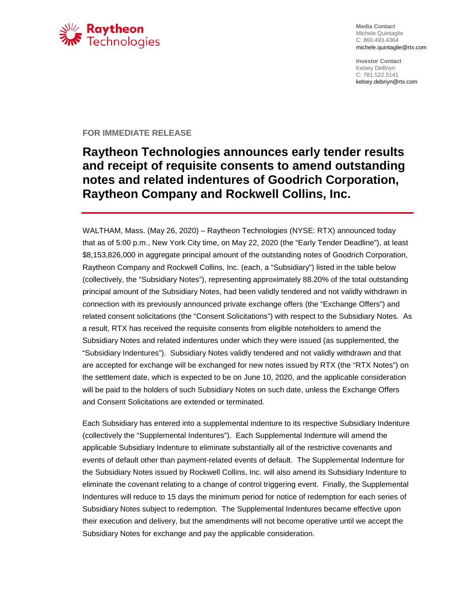

**Media Contact** Michele Quintaglie C: 860.493.4364 michele.quintaglie@rtx.com

**Investor Contact** Kelsey DeBriyn C: 781.522.5141 kelsey.debriyn@rtx.com

## **FOR IMMEDIATE RELEASE**

## **Raytheon Technologies announces early tender results and receipt of requisite consents to amend outstanding notes and related indentures of Goodrich Corporation, Raytheon Company and Rockwell Collins, Inc.**

WALTHAM, Mass. (May 26, 2020) – Raytheon Technologies (NYSE: RTX) announced today that as of 5:00 p.m., New York City time, on May 22, 2020 (the "Early Tender Deadline"), at least \$8,153,826,000 in aggregate principal amount of the outstanding notes of Goodrich Corporation, Raytheon Company and Rockwell Collins, Inc. (each, a "Subsidiary") listed in the table below (collectively, the "Subsidiary Notes"), representing approximately 88.20% of the total outstanding principal amount of the Subsidiary Notes, had been validly tendered and not validly withdrawn in connection with its previously announced private exchange offers (the "Exchange Offers") and related consent solicitations (the "Consent Solicitations") with respect to the Subsidiary Notes. As a result, RTX has received the requisite consents from eligible noteholders to amend the Subsidiary Notes and related indentures under which they were issued (as supplemented, the "Subsidiary Indentures"). Subsidiary Notes validly tendered and not validly withdrawn and that are accepted for exchange will be exchanged for new notes issued by RTX (the "RTX Notes") on the settlement date, which is expected to be on June 10, 2020, and the applicable consideration will be paid to the holders of such Subsidiary Notes on such date, unless the Exchange Offers and Consent Solicitations are extended or terminated.

Each Subsidiary has entered into a supplemental indenture to its respective Subsidiary Indenture (collectively the "Supplemental Indentures"). Each Supplemental Indenture will amend the applicable Subsidiary Indenture to eliminate substantially all of the restrictive covenants and events of default other than payment-related events of default. The Supplemental Indenture for the Subsidiary Notes issued by Rockwell Collins, Inc. will also amend its Subsidiary Indenture to eliminate the covenant relating to a change of control triggering event. Finally, the Supplemental Indentures will reduce to 15 days the minimum period for notice of redemption for each series of Subsidiary Notes subject to redemption. The Supplemental Indentures became effective upon their execution and delivery, but the amendments will not become operative until we accept the Subsidiary Notes for exchange and pay the applicable consideration.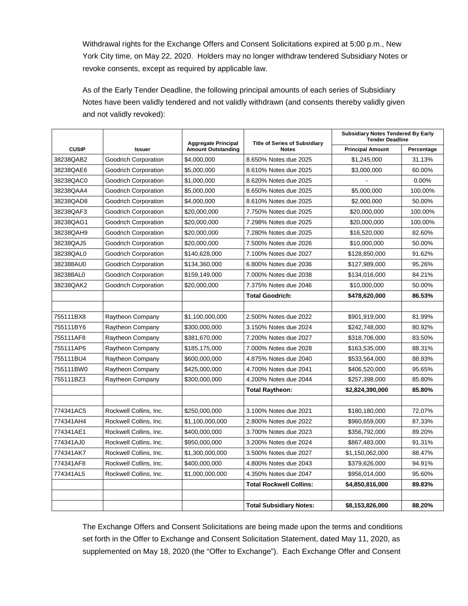Withdrawal rights for the Exchange Offers and Consent Solicitations expired at 5:00 p.m., New York City time, on May 22, 2020. Holders may no longer withdraw tendered Subsidiary Notes or revoke consents, except as required by applicable law.

As of the Early Tender Deadline, the following principal amounts of each series of Subsidiary Notes have been validly tendered and not validly withdrawn (and consents thereby validly given and not validly revoked):

|              |                        |                                                         | <b>Title of Series of Subsidiary</b> | <b>Subsidiary Notes Tendered By Early</b><br><b>Tender Deadline</b> |            |
|--------------|------------------------|---------------------------------------------------------|--------------------------------------|---------------------------------------------------------------------|------------|
| <b>CUSIP</b> | <b>Issuer</b>          | <b>Aggregate Principal</b><br><b>Amount Outstanding</b> | <b>Notes</b>                         | <b>Principal Amount</b>                                             | Percentage |
| 38238QAB2    | Goodrich Corporation   | \$4,000,000                                             | 8.650% Notes due 2025                | \$1,245,000                                                         | 31.13%     |
| 38238QAE6    | Goodrich Corporation   | \$5,000,000                                             | 8.610% Notes due 2025                | \$3,000,000                                                         | 60.00%     |
| 38238QAC0    | Goodrich Corporation   | \$1,000,000                                             | 8.620% Notes due 2025                |                                                                     | 0.00%      |
| 38238QAA4    | Goodrich Corporation   | \$5,000,000                                             | 8.650% Notes due 2025                | \$5,000,000                                                         | 100.00%    |
| 38238QAD8    | Goodrich Corporation   | \$4,000,000                                             | 8.610% Notes due 2025                | \$2,000,000                                                         | 50.00%     |
| 38238QAF3    | Goodrich Corporation   | \$20,000,000                                            | 7.750% Notes due 2025                | \$20,000,000                                                        | 100.00%    |
| 38238QAG1    | Goodrich Corporation   | \$20,000,000                                            | 7.298% Notes due 2025                | \$20,000,000                                                        | 100.00%    |
| 38238QAH9    | Goodrich Corporation   | \$20,000,000                                            | 7.280% Notes due 2025                | \$16,520,000                                                        | 82.60%     |
| 38238QAJ5    | Goodrich Corporation   | \$20,000,000                                            | 7.500% Notes due 2026                | \$10,000,000                                                        | 50.00%     |
| 38238QAL0    | Goodrich Corporation   | \$140,628,000                                           | 7.100% Notes due 2027                | \$128,850,000                                                       | 91.62%     |
| 382388AU0    | Goodrich Corporation   | \$134,360,000                                           | 6.800% Notes due 2036                | \$127,989,000                                                       | 95.26%     |
| 382388AL0    | Goodrich Corporation   | \$159,149,000                                           | 7.000% Notes due 2038                | \$134,016,000                                                       | 84.21%     |
| 38238QAK2    | Goodrich Corporation   | \$20,000,000                                            | 7.375% Notes due 2046                | \$10,000,000                                                        | 50.00%     |
|              |                        |                                                         | <b>Total Goodrich:</b>               | \$478,620,000                                                       | 86.53%     |
|              |                        |                                                         |                                      |                                                                     |            |
| 755111BX8    | Raytheon Company       | \$1,100,000,000                                         | 2.500% Notes due 2022                | \$901,919,000                                                       | 81.99%     |
| 755111BY6    | Raytheon Company       | \$300,000,000                                           | 3.150% Notes due 2024                | \$242,748,000                                                       | 80.92%     |
| 755111AF8    | Raytheon Company       | \$381,670,000                                           | 7.200% Notes due 2027                | \$318,706,000                                                       | 83.50%     |
| 755111AP6    | Raytheon Company       | \$185,175,000                                           | 7.000% Notes due 2028                | \$163,535,000                                                       | 88.31%     |
| 755111BU4    | Raytheon Company       | \$600,000,000                                           | 4.875% Notes due 2040                | \$533,564,000                                                       | 88.93%     |
| 755111BW0    | Raytheon Company       | \$425,000,000                                           | 4.700% Notes due 2041                | \$406,520,000                                                       | 95.65%     |
| 755111BZ3    | Raytheon Company       | \$300,000,000                                           | 4.200% Notes due 2044                | \$257,398,000                                                       | 85.80%     |
|              |                        |                                                         | <b>Total Raytheon:</b>               | \$2,824,390,000                                                     | 85.80%     |
|              |                        |                                                         |                                      |                                                                     |            |
| 774341AC5    | Rockwell Collins, Inc. | \$250,000,000                                           | 3.100% Notes due 2021                | \$180,180,000                                                       | 72.07%     |
| 774341AH4    | Rockwell Collins, Inc. | \$1,100,000,000                                         | 2.800% Notes due 2022                | \$960,659,000                                                       | 87.33%     |
| 774341AE1    | Rockwell Collins, Inc. | \$400,000,000                                           | 3.700% Notes due 2023                | \$356,792,000                                                       | 89.20%     |
| 774341AJ0    | Rockwell Collins, Inc. | \$950,000,000                                           | 3.200% Notes due 2024                | \$867,483,000                                                       | 91.31%     |
| 774341AK7    | Rockwell Collins, Inc. | \$1,300,000,000                                         | 3.500% Notes due 2027                | \$1,150,062,000                                                     | 88.47%     |
| 774341AF8    | Rockwell Collins, Inc. | \$400,000,000                                           | 4.800% Notes due 2043                | \$379,626,000                                                       | 94.91%     |
| 774341AL5    | Rockwell Collins, Inc. | \$1,000,000,000                                         | 4.350% Notes due 2047                | \$956,014,000                                                       | 95.60%     |
|              |                        |                                                         | <b>Total Rockwell Collins:</b>       | \$4,850,816,000                                                     | 89.83%     |
|              |                        |                                                         |                                      |                                                                     |            |
|              |                        |                                                         | <b>Total Subsidiary Notes:</b>       | \$8,153,826,000                                                     | 88.20%     |

The Exchange Offers and Consent Solicitations are being made upon the terms and conditions set forth in the Offer to Exchange and Consent Solicitation Statement, dated May 11, 2020, as supplemented on May 18, 2020 (the "Offer to Exchange"). Each Exchange Offer and Consent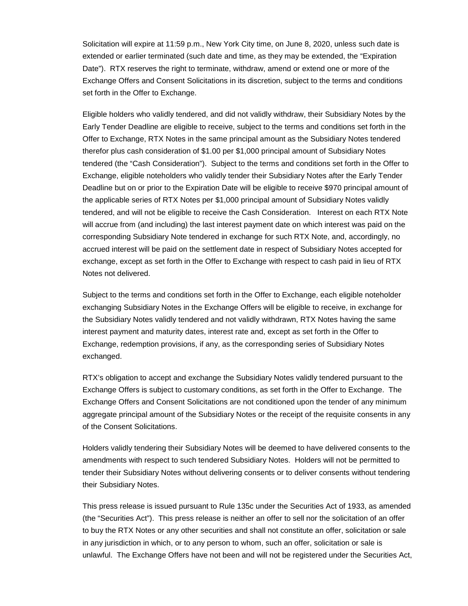Solicitation will expire at 11:59 p.m., New York City time, on June 8, 2020, unless such date is extended or earlier terminated (such date and time, as they may be extended, the "Expiration Date"). RTX reserves the right to terminate, withdraw, amend or extend one or more of the Exchange Offers and Consent Solicitations in its discretion, subject to the terms and conditions set forth in the Offer to Exchange.

Eligible holders who validly tendered, and did not validly withdraw, their Subsidiary Notes by the Early Tender Deadline are eligible to receive, subject to the terms and conditions set forth in the Offer to Exchange, RTX Notes in the same principal amount as the Subsidiary Notes tendered therefor plus cash consideration of \$1.00 per \$1,000 principal amount of Subsidiary Notes tendered (the "Cash Consideration"). Subject to the terms and conditions set forth in the Offer to Exchange, eligible noteholders who validly tender their Subsidiary Notes after the Early Tender Deadline but on or prior to the Expiration Date will be eligible to receive \$970 principal amount of the applicable series of RTX Notes per \$1,000 principal amount of Subsidiary Notes validly tendered, and will not be eligible to receive the Cash Consideration. Interest on each RTX Note will accrue from (and including) the last interest payment date on which interest was paid on the corresponding Subsidiary Note tendered in exchange for such RTX Note, and, accordingly, no accrued interest will be paid on the settlement date in respect of Subsidiary Notes accepted for exchange, except as set forth in the Offer to Exchange with respect to cash paid in lieu of RTX Notes not delivered.

Subject to the terms and conditions set forth in the Offer to Exchange, each eligible noteholder exchanging Subsidiary Notes in the Exchange Offers will be eligible to receive, in exchange for the Subsidiary Notes validly tendered and not validly withdrawn, RTX Notes having the same interest payment and maturity dates, interest rate and, except as set forth in the Offer to Exchange, redemption provisions, if any, as the corresponding series of Subsidiary Notes exchanged.

RTX's obligation to accept and exchange the Subsidiary Notes validly tendered pursuant to the Exchange Offers is subject to customary conditions, as set forth in the Offer to Exchange. The Exchange Offers and Consent Solicitations are not conditioned upon the tender of any minimum aggregate principal amount of the Subsidiary Notes or the receipt of the requisite consents in any of the Consent Solicitations.

Holders validly tendering their Subsidiary Notes will be deemed to have delivered consents to the amendments with respect to such tendered Subsidiary Notes. Holders will not be permitted to tender their Subsidiary Notes without delivering consents or to deliver consents without tendering their Subsidiary Notes.

This press release is issued pursuant to Rule 135c under the Securities Act of 1933, as amended (the "Securities Act"). This press release is neither an offer to sell nor the solicitation of an offer to buy the RTX Notes or any other securities and shall not constitute an offer, solicitation or sale in any jurisdiction in which, or to any person to whom, such an offer, solicitation or sale is unlawful. The Exchange Offers have not been and will not be registered under the Securities Act,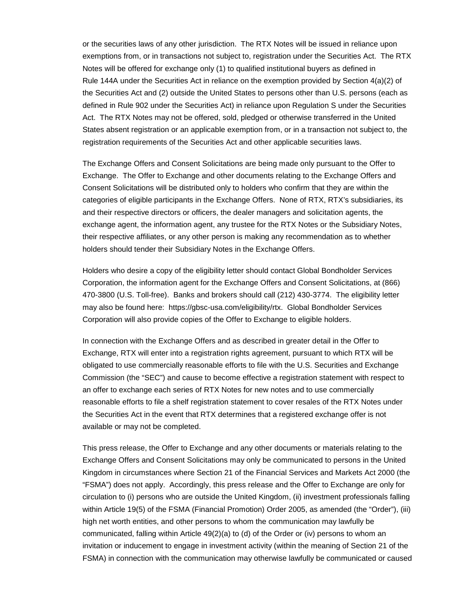or the securities laws of any other jurisdiction. The RTX Notes will be issued in reliance upon exemptions from, or in transactions not subject to, registration under the Securities Act. The RTX Notes will be offered for exchange only (1) to qualified institutional buyers as defined in Rule 144A under the Securities Act in reliance on the exemption provided by Section 4(a)(2) of the Securities Act and (2) outside the United States to persons other than U.S. persons (each as defined in Rule 902 under the Securities Act) in reliance upon Regulation S under the Securities Act. The RTX Notes may not be offered, sold, pledged or otherwise transferred in the United States absent registration or an applicable exemption from, or in a transaction not subject to, the registration requirements of the Securities Act and other applicable securities laws.

The Exchange Offers and Consent Solicitations are being made only pursuant to the Offer to Exchange. The Offer to Exchange and other documents relating to the Exchange Offers and Consent Solicitations will be distributed only to holders who confirm that they are within the categories of eligible participants in the Exchange Offers. None of RTX, RTX's subsidiaries, its and their respective directors or officers, the dealer managers and solicitation agents, the exchange agent, the information agent, any trustee for the RTX Notes or the Subsidiary Notes, their respective affiliates, or any other person is making any recommendation as to whether holders should tender their Subsidiary Notes in the Exchange Offers.

Holders who desire a copy of the eligibility letter should contact Global Bondholder Services Corporation, the information agent for the Exchange Offers and Consent Solicitations, at (866) 470-3800 (U.S. Toll-free). Banks and brokers should call (212) 430-3774. The eligibility letter may also be found here: https://gbsc-usa.com/eligibility/rtx. Global Bondholder Services Corporation will also provide copies of the Offer to Exchange to eligible holders.

In connection with the Exchange Offers and as described in greater detail in the Offer to Exchange, RTX will enter into a registration rights agreement, pursuant to which RTX will be obligated to use commercially reasonable efforts to file with the U.S. Securities and Exchange Commission (the "SEC") and cause to become effective a registration statement with respect to an offer to exchange each series of RTX Notes for new notes and to use commercially reasonable efforts to file a shelf registration statement to cover resales of the RTX Notes under the Securities Act in the event that RTX determines that a registered exchange offer is not available or may not be completed.

This press release, the Offer to Exchange and any other documents or materials relating to the Exchange Offers and Consent Solicitations may only be communicated to persons in the United Kingdom in circumstances where Section 21 of the Financial Services and Markets Act 2000 (the "FSMA") does not apply. Accordingly, this press release and the Offer to Exchange are only for circulation to (i) persons who are outside the United Kingdom, (ii) investment professionals falling within Article 19(5) of the FSMA (Financial Promotion) Order 2005, as amended (the "Order"), (iii) high net worth entities, and other persons to whom the communication may lawfully be communicated, falling within Article 49(2)(a) to (d) of the Order or (iv) persons to whom an invitation or inducement to engage in investment activity (within the meaning of Section 21 of the FSMA) in connection with the communication may otherwise lawfully be communicated or caused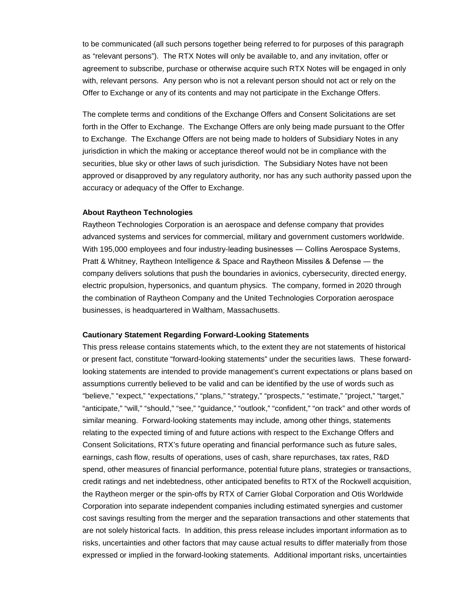to be communicated (all such persons together being referred to for purposes of this paragraph as "relevant persons"). The RTX Notes will only be available to, and any invitation, offer or agreement to subscribe, purchase or otherwise acquire such RTX Notes will be engaged in only with, relevant persons. Any person who is not a relevant person should not act or rely on the Offer to Exchange or any of its contents and may not participate in the Exchange Offers.

The complete terms and conditions of the Exchange Offers and Consent Solicitations are set forth in the Offer to Exchange. The Exchange Offers are only being made pursuant to the Offer to Exchange. The Exchange Offers are not being made to holders of Subsidiary Notes in any jurisdiction in which the making or acceptance thereof would not be in compliance with the securities, blue sky or other laws of such jurisdiction. The Subsidiary Notes have not been approved or disapproved by any regulatory authority, nor has any such authority passed upon the accuracy or adequacy of the Offer to Exchange.

## **About Raytheon Technologies**

Raytheon Technologies Corporation is an aerospace and defense company that provides advanced systems and services for commercial, military and government customers worldwide. With 195,000 employees and four industry-leading businesses — Collins Aerospace Systems, Pratt & Whitney, Raytheon Intelligence & Space and Raytheon Missiles & Defense ― the company delivers solutions that push the boundaries in avionics, cybersecurity, directed energy, electric propulsion, hypersonics, and quantum physics. The company, formed in 2020 through the combination of Raytheon Company and the United Technologies Corporation aerospace businesses, is headquartered in Waltham, Massachusetts.

## **Cautionary Statement Regarding Forward-Looking Statements**

This press release contains statements which, to the extent they are not statements of historical or present fact, constitute "forward-looking statements" under the securities laws. These forwardlooking statements are intended to provide management's current expectations or plans based on assumptions currently believed to be valid and can be identified by the use of words such as "believe," "expect," "expectations," "plans," "strategy," "prospects," "estimate," "project," "target," "anticipate," "will," "should," "see," "guidance," "outlook," "confident," "on track" and other words of similar meaning. Forward-looking statements may include, among other things, statements relating to the expected timing of and future actions with respect to the Exchange Offers and Consent Solicitations, RTX's future operating and financial performance such as future sales, earnings, cash flow, results of operations, uses of cash, share repurchases, tax rates, R&D spend, other measures of financial performance, potential future plans, strategies or transactions, credit ratings and net indebtedness, other anticipated benefits to RTX of the Rockwell acquisition, the Raytheon merger or the spin-offs by RTX of Carrier Global Corporation and Otis Worldwide Corporation into separate independent companies including estimated synergies and customer cost savings resulting from the merger and the separation transactions and other statements that are not solely historical facts. In addition, this press release includes important information as to risks, uncertainties and other factors that may cause actual results to differ materially from those expressed or implied in the forward-looking statements. Additional important risks, uncertainties